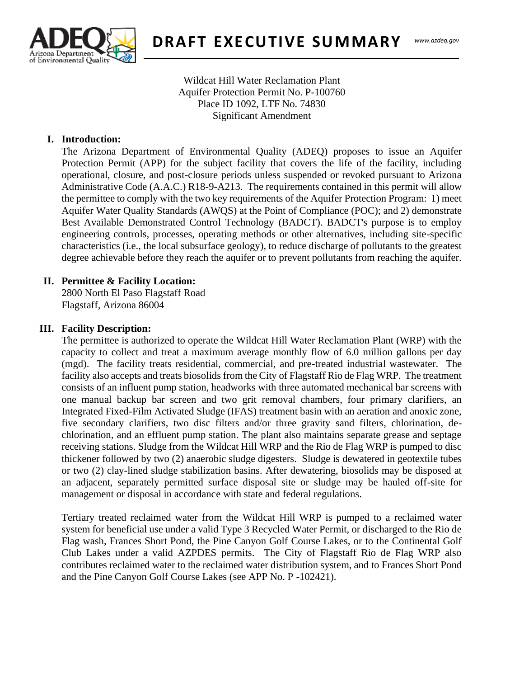

Wildcat Hill Water Reclamation Plant Aquifer Protection Permit No. P-100760 Place ID 1092, LTF No. 74830 Significant Amendment

#### **I. Introduction:**

 $\frac{1}{2}$ The Arizona Department of Environmental Quality (ADEQ) proposes to issue an Aquifer Protection Permit (APP) for the subject facility that covers the life of the facility, including operational, closure, and post-closure periods unless suspended or revoked pursuant to Arizona Administrative Code (A.A.C.) R18-9-A213. The requirements contained in this permit will allow the permittee to comply with the two key requirements of the Aquifer Protection Program: 1) meet Aquifer Water Quality Standards (AWQS) at the Point of Compliance (POC); and 2) demonstrate Best Available Demonstrated Control Technology (BADCT). BADCT's purpose is to employ engineering controls, processes, operating methods or other alternatives, including site-specific characteristics (i.e., the local subsurface geology), to reduce discharge of pollutants to the greatest degree achievable before they reach the aquifer or to prevent pollutants from reaching the aquifer.

### **II. Permittee & Facility Location:**

2800 North El Paso Flagstaff Road Flagstaff, Arizona 86004

#### **III. Facility Description:**

The permittee is authorized to operate the Wildcat Hill Water Reclamation Plant (WRP) with the capacity to collect and treat a maximum average monthly flow of 6.0 million gallons per day (mgd). The facility treats residential, commercial, and pre-treated industrial wastewater. The facility also accepts and treats biosolids from the City of Flagstaff Rio de Flag WRP. The treatment consists of an influent pump station, headworks with three automated mechanical bar screens with one manual backup bar screen and two grit removal chambers, four primary clarifiers, an Integrated Fixed-Film Activated Sludge (IFAS) treatment basin with an aeration and anoxic zone, five secondary clarifiers, two disc filters and/or three gravity sand filters, chlorination, dechlorination, and an effluent pump station. The plant also maintains separate grease and septage receiving stations. Sludge from the Wildcat Hill WRP and the Rio de Flag WRP is pumped to disc thickener followed by two (2) anaerobic sludge digesters. Sludge is dewatered in geotextile tubes or two (2) clay-lined sludge stabilization basins. After dewatering, biosolids may be disposed at an adjacent, separately permitted surface disposal site or sludge may be hauled off-site for management or disposal in accordance with state and federal regulations.

Tertiary treated reclaimed water from the Wildcat Hill WRP is pumped to a reclaimed water system for beneficial use under a valid Type 3 Recycled Water Permit, or discharged to the Rio de Flag wash, Frances Short Pond, the Pine Canyon Golf Course Lakes, or to the Continental Golf Club Lakes under a valid AZPDES permits. The City of Flagstaff Rio de Flag WRP also contributes reclaimed water to the reclaimed water distribution system, and to Frances Short Pond and the Pine Canyon Golf Course Lakes (see APP No. P -102421).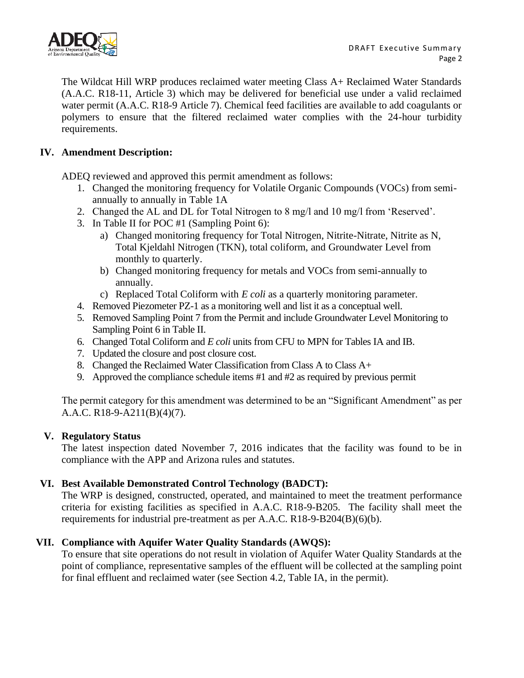

The Wildcat Hill WRP produces reclaimed water meeting Class A+ Reclaimed Water Standards (A.A.C. R18-11, Article 3) which may be delivered for beneficial use under a valid reclaimed water permit (A.A.C. R18-9 Article 7). Chemical feed facilities are available to add coagulants or polymers to ensure that the filtered reclaimed water complies with the 24-hour turbidity requirements.

## **IV. Amendment Description:**

ADEQ reviewed and approved this permit amendment as follows:

- 1. Changed the monitoring frequency for Volatile Organic Compounds (VOCs) from semiannually to annually in Table 1A
- 2. Changed the AL and DL for Total Nitrogen to 8 mg/l and 10 mg/l from 'Reserved'.
- 3. In Table II for POC #1 (Sampling Point 6):
	- a) Changed monitoring frequency for Total Nitrogen, Nitrite-Nitrate, Nitrite as N, Total Kjeldahl Nitrogen (TKN), total coliform, and Groundwater Level from monthly to quarterly.
	- b) Changed monitoring frequency for metals and VOCs from semi-annually to annually.
	- c) Replaced Total Coliform with *E coli* as a quarterly monitoring parameter.
- 4. Removed Piezometer PZ-1 as a monitoring well and list it as a conceptual well.
- 5. Removed Sampling Point 7 from the Permit and include Groundwater Level Monitoring to Sampling Point 6 in Table II.
- 6. Changed Total Coliform and *E coli* units from CFU to MPN for Tables IA and IB.
- 7. Updated the closure and post closure cost.
- 8. Changed the Reclaimed Water Classification from Class A to Class A+
- 9. Approved the compliance schedule items #1 and #2 as required by previous permit

The permit category for this amendment was determined to be an "Significant Amendment" as per A.A.C. R18-9-A211(B)(4)(7).

## **V. Regulatory Status**

The latest inspection dated November 7, 2016 indicates that the facility was found to be in compliance with the APP and Arizona rules and statutes.

# **VI. Best Available Demonstrated Control Technology (BADCT):**

The WRP is designed, constructed, operated, and maintained to meet the treatment performance criteria for existing facilities as specified in A.A.C. R18-9-B205. The facility shall meet the requirements for industrial pre-treatment as per A.A.C. R18-9-B204(B)(6)(b).

# **VII. Compliance with Aquifer Water Quality Standards (AWQS):**

To ensure that site operations do not result in violation of Aquifer Water Quality Standards at the point of compliance, representative samples of the effluent will be collected at the sampling point for final effluent and reclaimed water (see Section 4.2, Table IA, in the permit).